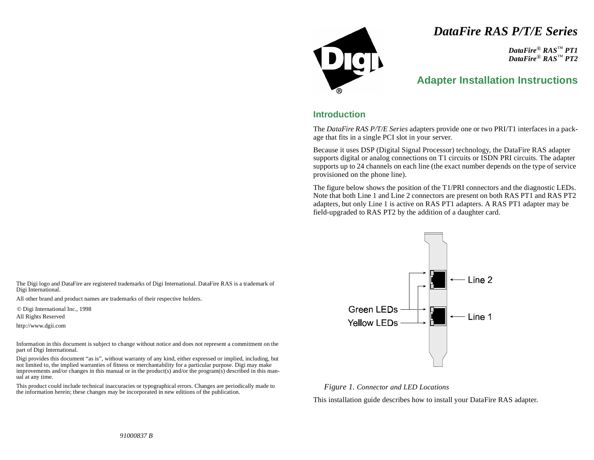# *DataFire RAS P/T/E Series*

*DataFire*® *RAS*™ *PT1 DataFire*® *RAS*™ *PT2*

## **Adapter Installation Instructions**

### **Introduction**

The *DataFire RAS P/T/E Series* adapters provide one or two PRI/T1 interfaces in a package that fits in a single PCI slot in your server.

Because it uses DSP (Digital Signal Processor) technology, the DataFire RAS adapter supports digital or analog connections on T1 circuits or ISDN PRI circuits. The adapter supports up to 24 channels on each line (the exact number depends on the type of service provisioned on the phone line).

The figure below shows the position of the T1/PRI connectors and the diagnostic LEDs. Note that both Line 1 and Line 2 connectors are present on both RAS PT1 and RAS PT2 adapters, but only Line 1 is active on RAS PT1 adapters. A RAS PT1 adapter may be field-upgraded to RAS PT2 by the addition of a daughter card.



#### *Figure 1. Connector and LED Locations*

This installation guide describes how to install your DataFire RAS adapter.

The Digi logo and DataFire are registered trademarks of Digi International. DataFire RAS is a trademark of Digi International.

All other brand and product names are trademarks of their respective holders.

© Digi International Inc., 1998

All Rights Reserved

http://www.dgii.com

Information in this document is subject to change without notice and does not represent a commitment on the part of Digi International.

Digi provides this document "as is", without warranty of any kind, either expressed or implied, including, but not limited to, the implied warranties of fitness or merchantability for a particular purpose. Digi may make improvements and/or changes in this manual or in the product(s) and/or the program(s) described in this manual at any time.

This product could include technical inaccuracies or typographical errors. Changes are periodically made to the information herein; these changes may be incorporated in new editions of the publication.